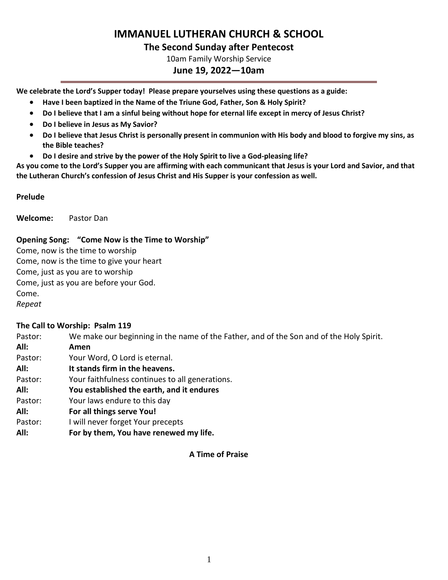# **IMMANUEL LUTHERAN CHURCH & SCHOOL**

# **The Second Sunday after Pentecost**

10am Family Worship Service

# **June 19, 2022—10am**

**We celebrate the Lord's Supper today! Please prepare yourselves using these questions as a guide:**

- **Have I been baptized in the Name of the Triune God, Father, Son & Holy Spirit?**
- **Do I believe that I am a sinful being without hope for eternal life except in mercy of Jesus Christ?**
- **Do I believe in Jesus as My Savior?**
- **Do I believe that Jesus Christ is personally present in communion with His body and blood to forgive my sins, as the Bible teaches?**
- **Do I desire and strive by the power of the Holy Spirit to live a God-pleasing life?**

**As you come to the Lord's Supper you are affirming with each communicant that Jesus is your Lord and Savior, and that the Lutheran Church's confession of Jesus Christ and His Supper is your confession as well.**

# **Prelude**

**Welcome:** Pastor Dan

# **Opening Song: "Come Now is the Time to Worship"**

Come, now is the time to worship Come, now is the time to give your heart Come, just as you are to worship Come, just as you are before your God. Come. *Repeat*

# **The Call to Worship: Psalm 119**

- Pastor: We make our beginning in the name of the Father, and of the Son and of the Holy Spirit. **All: Amen**
- Pastor: Your Word, O Lord is eternal.
- **All: It stands firm in the heavens.**
- Pastor: Your faithfulness continues to all generations.
- **All: You established the earth, and it endures**
- Pastor: Your laws endure to this day
- **All: For all things serve You!**
- Pastor: I will never forget Your precepts
- **All: For by them, You have renewed my life.**

# **A Time of Praise**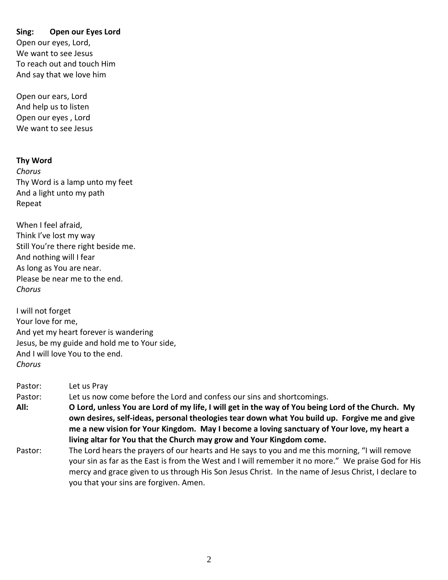# **Sing: Open our Eyes Lord**

Open our eyes, Lord, We want to see Jesus To reach out and touch Him And say that we love him

Open our ears, Lord And help us to listen Open our eyes , Lord We want to see Jesus

# **Thy Word**

*Chorus* Thy Word is a lamp unto my feet And a light unto my path Repeat

| When I feel afraid,                 |
|-------------------------------------|
| Think I've lost my way              |
| Still You're there right beside me. |
| And nothing will I fear             |
| As long as You are near.            |
| Please be near me to the end.       |
| Chorus                              |

I will not forget Your love for me, And yet my heart forever is wandering Jesus, be my guide and hold me to Your side, And I will love You to the end. *Chorus*

| Pastor: | Let us Pray                                                                                                                                                                                                                                                                                      |
|---------|--------------------------------------------------------------------------------------------------------------------------------------------------------------------------------------------------------------------------------------------------------------------------------------------------|
| Pastor: | Let us now come before the Lord and confess our sins and shortcomings.                                                                                                                                                                                                                           |
| All:    | O Lord, unless You are Lord of my life, I will get in the way of You being Lord of the Church. My<br>own desires, self-ideas, personal theologies tear down what You build up. Forgive me and give<br>me a new vision for Your Kingdom. May I become a loving sanctuary of Your love, my heart a |
|         | living altar for You that the Church may grow and Your Kingdom come.                                                                                                                                                                                                                             |
| Pastor: | The Lord hears the prayers of our hearts and He says to you and me this morning, "I will remove                                                                                                                                                                                                  |
|         | your sin as far as the East is from the West and I will remember it no more." We praise God for His                                                                                                                                                                                              |

your sin as far as the East is from the West and I will remember it no more." We praise God for His mercy and grace given to us through His Son Jesus Christ. In the name of Jesus Christ, I declare to you that your sins are forgiven. Amen.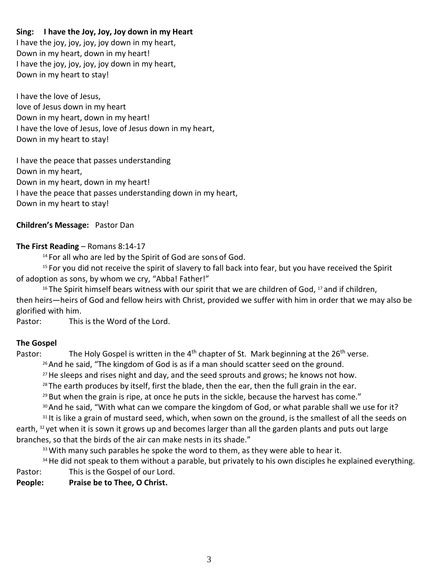# **Sing: I have the Joy, Joy, Joy down in my Heart**

I have the joy, joy, joy, joy down in my heart, Down in my heart, down in my heart! I have the joy, joy, joy, joy down in my heart, Down in my heart to stay!

I have the love of Jesus, love of Jesus down in my heart Down in my heart, down in my heart! I have the love of Jesus, love of Jesus down in my heart, Down in my heart to stay!

I have the peace that passes understanding Down in my heart, Down in my heart, down in my heart! I have the peace that passes understanding down in my heart, Down in my heart to stay!

# **Children's Message:** Pastor Dan

# **The First Reading** – Romans 8:14-17

<sup>14</sup> For all who are led by the Spirit of God are sons of God.

<sup>15</sup> For you did not receive the spirit of slavery to fall back into fear, but you have received the Spirit of adoption as sons, by whom we cry, "Abba! Father!"

 $16$  The Spirit himself bears witness with our spirit that we are children of God,  $17$  and if children, then heirs—heirs of God and fellow heirs with Christ, provided we suffer with him in order that we may also be glorified with him.

Pastor: This is the Word of the Lord.

# **The Gospel**

Pastor: The Holy Gospel is written in the 4<sup>th</sup> chapter of St. Mark beginning at the 26<sup>th</sup> verse.

<sup>26</sup> And he said, "The kingdom of God is as if a man should scatter seed on the ground.

 $27$  He sleeps and rises night and day, and the seed sprouts and grows; he knows not how.

 $28$  The earth produces by itself, first the blade, then the ear, then the full grain in the ear.

 $29$  But when the grain is ripe, at once he puts in the sickle, because the harvest has come."

<sup>30</sup> And he said, "With what can we compare the kingdom of God, or what parable shall we use for it?

<sup>31</sup> It is like a grain of mustard seed, which, when sown on the ground, is the smallest of all the seeds on earth, <sup>32</sup> yet when it is sown it grows up and becomes larger than all the garden plants and puts out large branches, so that the birds of the air can make nests in its shade."

<sup>33</sup> With many such parables he spoke the word to them, as they were able to hear it.

<sup>34</sup> He did not speak to them without a parable, but privately to his own disciples he explained everything.

Pastor: This is the Gospel of our Lord.

# **People: Praise be to Thee, O Christ.**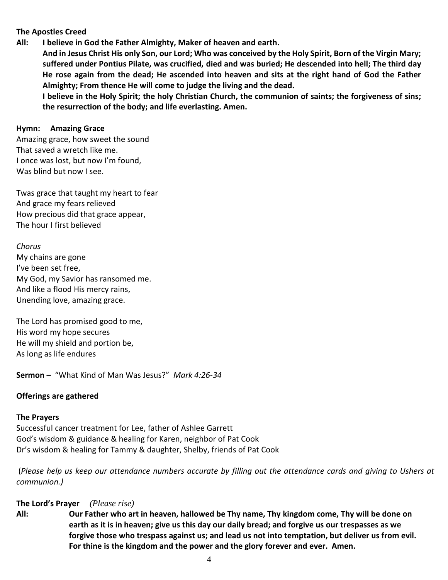# **The Apostles Creed**

**All: I believe in God the Father Almighty, Maker of heaven and earth. And in Jesus Christ His only Son, our Lord; Who was conceived by the Holy Spirit, Born of the Virgin Mary; suffered under Pontius Pilate, was crucified, died and was buried; He descended into hell; The third day He rose again from the dead; He ascended into heaven and sits at the right hand of God the Father Almighty; From thence He will come to judge the living and the dead. I believe in the Holy Spirit; the holy Christian Church, the communion of saints; the forgiveness of sins;** 

**the resurrection of the body; and life everlasting. Amen.**

#### **Hymn: Amazing Grace**

Amazing grace, how sweet the sound That saved a wretch like me. I once was lost, but now I'm found, Was blind but now I see.

Twas grace that taught my heart to fear And grace my fears relieved How precious did that grace appear, The hour I first believed

#### *Chorus*

My chains are gone I've been set free, My God, my Savior has ransomed me. And like a flood His mercy rains, Unending love, amazing grace.

The Lord has promised good to me, His word my hope secures He will my shield and portion be, As long as life endures

**Sermon –** "What Kind of Man Was Jesus?" *Mark 4:26-34*

# **Offerings are gathered**

# **The Prayers**

Successful cancer treatment for Lee, father of Ashlee Garrett God's wisdom & guidance & healing for Karen, neighbor of Pat Cook Dr's wisdom & healing for Tammy & daughter, Shelby, friends of Pat Cook

(*Please help us keep our attendance numbers accurate by filling out the attendance cards and giving to Ushers at communion.)*

# **The Lord's Prayer** *(Please rise)*

**All: Our Father who art in heaven, hallowed be Thy name, Thy kingdom come, Thy will be done on earth as it is in heaven; give us this day our daily bread; and forgive us our trespasses as we forgive those who trespass against us; and lead us not into temptation, but deliver us from evil. For thine is the kingdom and the power and the glory forever and ever. Amen.**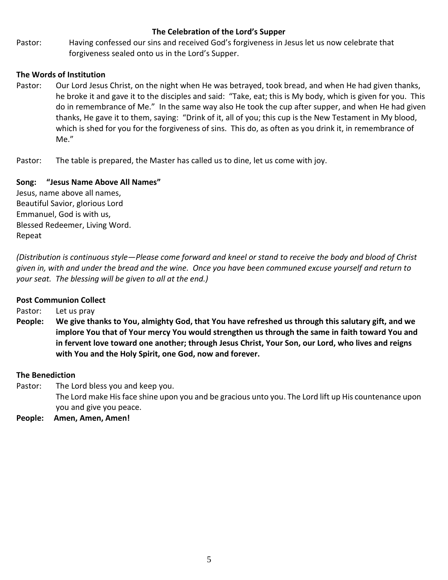# **The Celebration of the Lord's Supper**

Pastor: Having confessed our sins and received God's forgiveness in Jesus let us now celebrate that forgiveness sealed onto us in the Lord's Supper.

# **The Words of Institution**

Pastor: Our Lord Jesus Christ, on the night when He was betrayed, took bread, and when He had given thanks, he broke it and gave it to the disciples and said: "Take, eat; this is My body, which is given for you. This do in remembrance of Me." In the same way also He took the cup after supper, and when He had given thanks, He gave it to them, saying: "Drink of it, all of you; this cup is the New Testament in My blood, which is shed for you for the forgiveness of sins. This do, as often as you drink it, in remembrance of Me."

Pastor: The table is prepared, the Master has called us to dine, let us come with joy.

# **Song: "Jesus Name Above All Names"**

Jesus, name above all names, Beautiful Savior, glorious Lord Emmanuel, God is with us, Blessed Redeemer, Living Word. Repeat

*(Distribution is continuous style—Please come forward and kneel or stand to receive the body and blood of Christ given in, with and under the bread and the wine. Once you have been communed excuse yourself and return to your seat. The blessing will be given to all at the end.)* 

# **Post Communion Collect**

Pastor: Let us pray

**People: We give thanks to You, almighty God, that You have refreshed us through this salutary gift, and we implore You that of Your mercy You would strengthen us through the same in faith toward You and in fervent love toward one another; through Jesus Christ, Your Son, our Lord, who lives and reigns with You and the Holy Spirit, one God, now and forever.** 

# **The Benediction**

- Pastor: The Lord bless you and keep you. The Lord make His face shine upon you and be gracious unto you. The Lord lift up His countenance upon you and give you peace.
- **People: Amen, Amen, Amen!**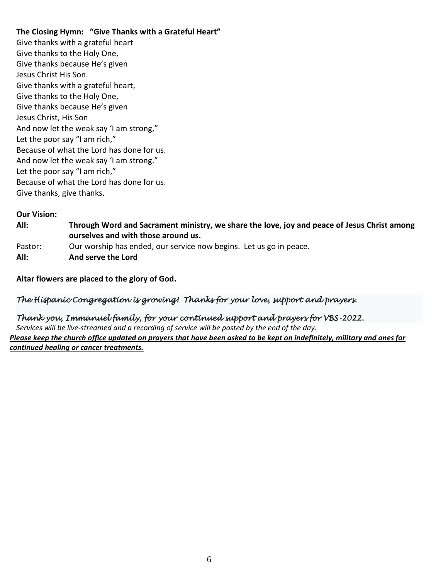# **The Closing Hymn: "Give Thanks with a Grateful Heart"**

Give thanks with a grateful heart Give thanks to the Holy One, Give thanks because He's given Jesus Christ His Son. Give thanks with a grateful heart, Give thanks to the Holy One, Give thanks because He's given Jesus Christ, His Son And now let the weak say 'I am strong," Let the poor say "I am rich," Because of what the Lord has done for us. And now let the weak say 'I am strong." Let the poor say "I am rich," Because of what the Lord has done for us. Give thanks, give thanks.

# **Our Vision:**

| All:    | Through Word and Sacrament ministry, we share the love, joy and peace of Jesus Christ among |
|---------|---------------------------------------------------------------------------------------------|
|         | ourselves and with those around us.                                                         |
| Pastor: | Our worship has ended, our service now begins. Let us go in peace.                          |
| All:    | And serve the Lord                                                                          |

# **Altar flowers are placed to the glory of God.**

# *The Hispanic Congregation is growing! Thanks for your love, support and prayers.*

# *Thank you, Immanuel family, for your continued support and prayers for VBS-2022.*

*Services will be live-streamed and a recording of service will be posted by the end of the day. Please keep the church office updated on prayers that have been asked to be kept on indefinitely, military and ones for continued healing or cancer treatments.*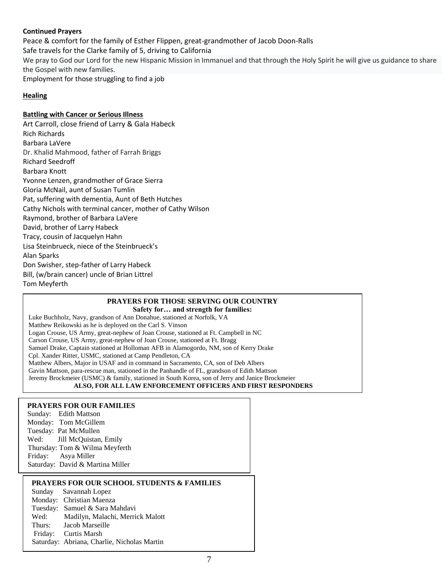#### **Continued Prayers**

Peace & comfort for the family of Esther Flippen, great-grandmother of Jacob Doon-Ralls Safe travels for the Clarke family of 5, driving to California We pray to God our Lord for the new Hispanic Mission in Immanuel and that through the Holy Spirit he will give us guidance to share the Gospel with new families. Employment for those struggling to find a job

#### **Healing**

#### **Battling with Cancer or Serious Illness**

Art Carroll, close friend of Larry & Gala Habeck Rich Richards Barbara LaVere Dr. Khalid Mahmood, father of Farrah Briggs Richard Seedroff Barbara Knott Yvonne Lenzen, grandmother of Grace Sierra Gloria McNail, aunt of Susan Tumlin Pat, suffering with dementia, Aunt of Beth Hutches Cathy Nichols with terminal cancer, mother of Cathy Wilson Raymond, brother of Barbara LaVere David, brother of Larry Habeck Tracy, cousin of Jacquelyn Hahn Lisa Steinbrueck, niece of the Steinbrueck's Alan Sparks Don Swisher, step-father of Larry Habeck Bill, (w/brain cancer) uncle of Brian Littrel Tom Meyferth

#### **PRAYERS FOR THOSE SERVING OUR COUNTRY Safety for… and strength for families:**

Luke Buchholz, Navy, grandson of Ann Donahue, stationed at Norfolk, VA Matthew Reikowski as he is deployed on the Carl S. Vinson Logan Crouse, US Army, great-nephew of Joan Crouse, stationed at Ft. Campbell in NC Carson Crouse, US Army, great-nephew of Joan Crouse, stationed at Ft. Bragg Samuel Drake, Captain stationed at Holloman AFB in Alamogordo, NM, son of Kerry Drake Cpl. Xander Ritter, USMC, stationed at Camp Pendleton, CA Matthew Albers, Major in USAF and in command in Sacramento, CA, son of Deb Albers Gavin Mattson, para-rescue man, stationed in the Panhandle of FL, grandson of Edith Mattson Jeremy Brockmeier (USMC) & family, stationed in South Korea, son of Jerry and Janice Brockmeier **ALSO, FOR ALL LAW ENFORCEMENT OFFICERS AND FIRST RESPONDERS**

#### **PRAYERS FOR OUR FAMILIES**

Sunday: Edith Mattson Monday: Tom McGillem Tuesday: Pat McMullen Wed: Jill McQuistan, Emily Thursday: Tom & Wilma Meyferth Friday: Asya Miller Saturday: David & Martina Miller

 $\overline{a}$ 

#### **PRAYERS FOR OUR SCHOOL STUDENTS & FAMILIES**

Sunday Savannah Lopez Monday: Christian Maenza Tuesday: Samuel & Sara Mahdavi Wed: Madilyn, Malachi, Merrick Malott Thurs: Jacob Marseille Friday: Curtis Marsh Saturday: Abriana, Charlie, Nicholas Martin